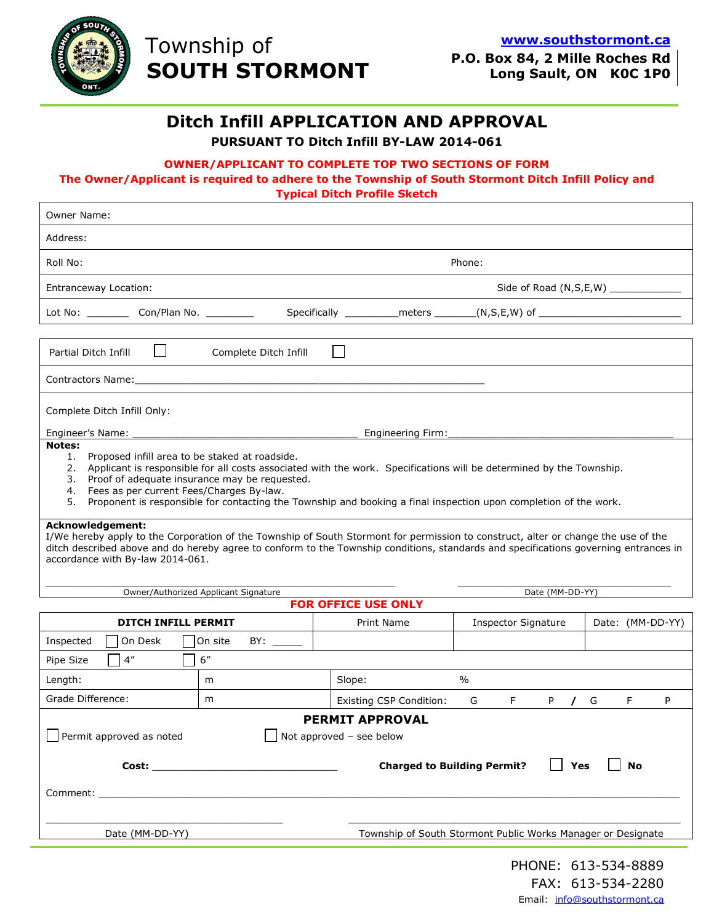

 $\mathsf I$ 

# Township of  **SOUTH STORMONT**

**P.O. Box 84, 2 Mille Roches Rd Long Sault, ON K0C 1P0**

### **Ditch Infill APPLICATION AND APPROVAL**

**PURSUANT TO Ditch Infill BY-LAW 2014-061** 

#### **OWNER/APPLICANT TO COMPLETE TOP TWO SECTIONS OF FORM**

#### **The Owner/Applicant is required to adhere to the Township of South Stormont Ditch Infill Policy and Typical Ditch Profile Sketch**

| Owner Name:                                                                                                                                                                                                                                                                                                                                                                                                        |         |        |                                                                                  |                            |    |                  |   |    |   |
|--------------------------------------------------------------------------------------------------------------------------------------------------------------------------------------------------------------------------------------------------------------------------------------------------------------------------------------------------------------------------------------------------------------------|---------|--------|----------------------------------------------------------------------------------|----------------------------|----|------------------|---|----|---|
| Address:                                                                                                                                                                                                                                                                                                                                                                                                           |         |        |                                                                                  |                            |    |                  |   |    |   |
| Roll No:<br>Phone:                                                                                                                                                                                                                                                                                                                                                                                                 |         |        |                                                                                  |                            |    |                  |   |    |   |
| <b>Entranceway Location:</b>                                                                                                                                                                                                                                                                                                                                                                                       |         |        |                                                                                  |                            |    |                  |   |    |   |
| Lot No: _____________ Con/Plan No. ___________                                                                                                                                                                                                                                                                                                                                                                     |         |        | Specifically ______________meters _________(N,S,E,W) of ________________________ |                            |    |                  |   |    |   |
|                                                                                                                                                                                                                                                                                                                                                                                                                    |         |        |                                                                                  |                            |    |                  |   |    |   |
| $\mathsf{L}$<br>Partial Ditch Infill<br>Complete Ditch Infill                                                                                                                                                                                                                                                                                                                                                      |         |        |                                                                                  |                            |    |                  |   |    |   |
| Contractors Name: with a state of the contractors of the contractors of the contractors of the contractors of the contractors of the contractors of the contractors of the contractors of the contractors of the contractors o                                                                                                                                                                                     |         |        |                                                                                  |                            |    |                  |   |    |   |
| Complete Ditch Infill Only:                                                                                                                                                                                                                                                                                                                                                                                        |         |        |                                                                                  |                            |    |                  |   |    |   |
| Engineer's Name: _<br>Engineering Firm: ____________                                                                                                                                                                                                                                                                                                                                                               |         |        |                                                                                  |                            |    |                  |   |    |   |
| Notes:<br>1. Proposed infill area to be staked at roadside.<br>2. Applicant is responsible for all costs associated with the work. Specifications will be determined by the Township.<br>3. Proof of adequate insurance may be requested.<br>4. Fees as per current Fees/Charges By-law.<br>5.<br>Proponent is responsible for contacting the Township and booking a final inspection upon completion of the work. |         |        |                                                                                  |                            |    |                  |   |    |   |
| Acknowledgement:<br>I/We hereby apply to the Corporation of the Township of South Stormont for permission to construct, alter or change the use of the<br>ditch described above and do hereby agree to conform to the Township conditions, standards and specifications governing entrances in<br>accordance with By-law 2014-061.                                                                                 |         |        |                                                                                  |                            |    |                  |   |    |   |
| Owner/Authorized Applicant Signature                                                                                                                                                                                                                                                                                                                                                                               |         |        |                                                                                  | Date (MM-DD-YY)            |    |                  |   |    |   |
| <b>FOR OFFICE USE ONLY</b>                                                                                                                                                                                                                                                                                                                                                                                         |         |        |                                                                                  |                            |    |                  |   |    |   |
| DITCH INFILL PERMIT                                                                                                                                                                                                                                                                                                                                                                                                |         |        | Print Name                                                                       | <b>Inspector Signature</b> |    | Date: (MM-DD-YY) |   |    |   |
| On Desk<br>Inspected                                                                                                                                                                                                                                                                                                                                                                                               | On site |        |                                                                                  |                            |    |                  |   |    |   |
| $4^{\prime\prime}$<br>Pipe Size                                                                                                                                                                                                                                                                                                                                                                                    | 6''     |        |                                                                                  |                            |    |                  |   |    |   |
| Length:                                                                                                                                                                                                                                                                                                                                                                                                            | m       | Slope: |                                                                                  | $\%$                       |    |                  |   |    |   |
| Grade Difference:                                                                                                                                                                                                                                                                                                                                                                                                  | m       |        | <b>Existing CSP Condition:</b>                                                   | G                          | F. | P<br>$\prime$    | G | F. | P |
| <b>PERMIT APPROVAL</b><br>Permit approved as noted<br>$\Box$ Not approved - see below                                                                                                                                                                                                                                                                                                                              |         |        |                                                                                  |                            |    |                  |   |    |   |
| <b>Charged to Building Permit?</b><br><b>No</b><br>Yes                                                                                                                                                                                                                                                                                                                                                             |         |        |                                                                                  |                            |    |                  |   |    |   |
|                                                                                                                                                                                                                                                                                                                                                                                                                    |         |        |                                                                                  |                            |    |                  |   |    |   |
|                                                                                                                                                                                                                                                                                                                                                                                                                    |         |        |                                                                                  |                            |    |                  |   |    |   |
| Date (MM-DD-YY)<br>Township of South Stormont Public Works Manager or Designate                                                                                                                                                                                                                                                                                                                                    |         |        |                                                                                  |                            |    |                  |   |    |   |